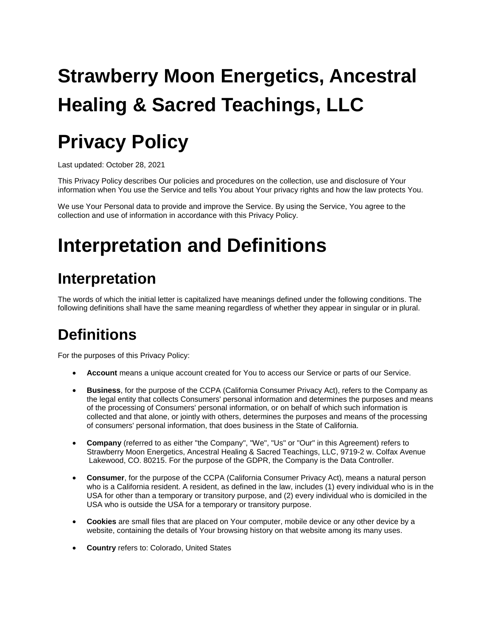# **Strawberry Moon Energetics, Ancestral Healing & Sacred Teachings, LLC**

# **Privacy Policy**

Last updated: October 28, 2021

This Privacy Policy describes Our policies and procedures on the collection, use and disclosure of Your information when You use the Service and tells You about Your privacy rights and how the law protects You.

We use Your Personal data to provide and improve the Service. By using the Service, You agree to the collection and use of information in accordance with this Privacy Policy.

## **Interpretation and Definitions**

## **Interpretation**

The words of which the initial letter is capitalized have meanings defined under the following conditions. The following definitions shall have the same meaning regardless of whether they appear in singular or in plural.

## **Definitions**

For the purposes of this Privacy Policy:

- **Account** means a unique account created for You to access our Service or parts of our Service.
- **Business**, for the purpose of the CCPA (California Consumer Privacy Act), refers to the Company as the legal entity that collects Consumers' personal information and determines the purposes and means of the processing of Consumers' personal information, or on behalf of which such information is collected and that alone, or jointly with others, determines the purposes and means of the processing of consumers' personal information, that does business in the State of California.
- **Company** (referred to as either "the Company", "We", "Us" or "Our" in this Agreement) refers to Strawberry Moon Energetics, Ancestral Healing & Sacred Teachings, LLC, 9719-2 w. Colfax Avenue Lakewood, CO. 80215. For the purpose of the GDPR, the Company is the Data Controller.
- **Consumer**, for the purpose of the CCPA (California Consumer Privacy Act), means a natural person who is a California resident. A resident, as defined in the law, includes (1) every individual who is in the USA for other than a temporary or transitory purpose, and (2) every individual who is domiciled in the USA who is outside the USA for a temporary or transitory purpose.
- **Cookies** are small files that are placed on Your computer, mobile device or any other device by a website, containing the details of Your browsing history on that website among its many uses.
- **Country** refers to: Colorado, United States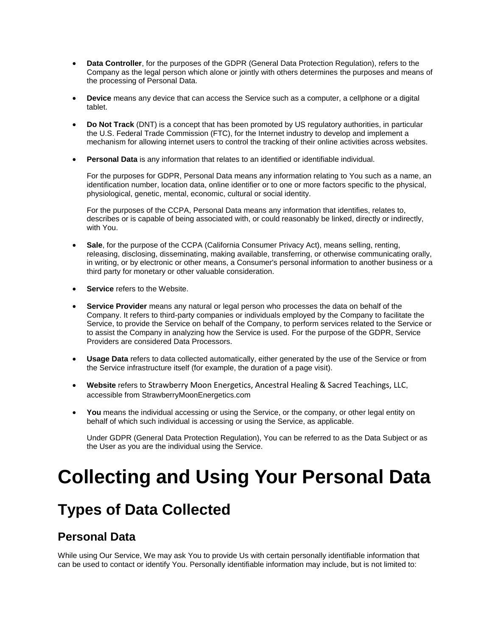- **Data Controller**, for the purposes of the GDPR (General Data Protection Regulation), refers to the Company as the legal person which alone or jointly with others determines the purposes and means of the processing of Personal Data.
- **Device** means any device that can access the Service such as a computer, a cellphone or a digital tablet.
- **Do Not Track** (DNT) is a concept that has been promoted by US regulatory authorities, in particular the U.S. Federal Trade Commission (FTC), for the Internet industry to develop and implement a mechanism for allowing internet users to control the tracking of their online activities across websites.
- **Personal Data** is any information that relates to an identified or identifiable individual.

For the purposes for GDPR, Personal Data means any information relating to You such as a name, an identification number, location data, online identifier or to one or more factors specific to the physical, physiological, genetic, mental, economic, cultural or social identity.

For the purposes of the CCPA, Personal Data means any information that identifies, relates to, describes or is capable of being associated with, or could reasonably be linked, directly or indirectly, with You.

- **Sale**, for the purpose of the CCPA (California Consumer Privacy Act), means selling, renting, releasing, disclosing, disseminating, making available, transferring, or otherwise communicating orally, in writing, or by electronic or other means, a Consumer's personal information to another business or a third party for monetary or other valuable consideration.
- **Service** refers to the Website.
- **Service Provider** means any natural or legal person who processes the data on behalf of the Company. It refers to third-party companies or individuals employed by the Company to facilitate the Service, to provide the Service on behalf of the Company, to perform services related to the Service or to assist the Company in analyzing how the Service is used. For the purpose of the GDPR, Service Providers are considered Data Processors.
- **Usage Data** refers to data collected automatically, either generated by the use of the Service or from the Service infrastructure itself (for example, the duration of a page visit).
- **Website** refers to Strawberry Moon Energetics, Ancestral Healing & Sacred Teachings, LLC, accessible from [StrawberryMoonEnergetics.com](https://www.soulblossom303.com/)
- **You** means the individual accessing or using the Service, or the company, or other legal entity on behalf of which such individual is accessing or using the Service, as applicable.

Under GDPR (General Data Protection Regulation), You can be referred to as the Data Subject or as the User as you are the individual using the Service.

## **Collecting and Using Your Personal Data**

### **Types of Data Collected**

#### **Personal Data**

While using Our Service, We may ask You to provide Us with certain personally identifiable information that can be used to contact or identify You. Personally identifiable information may include, but is not limited to: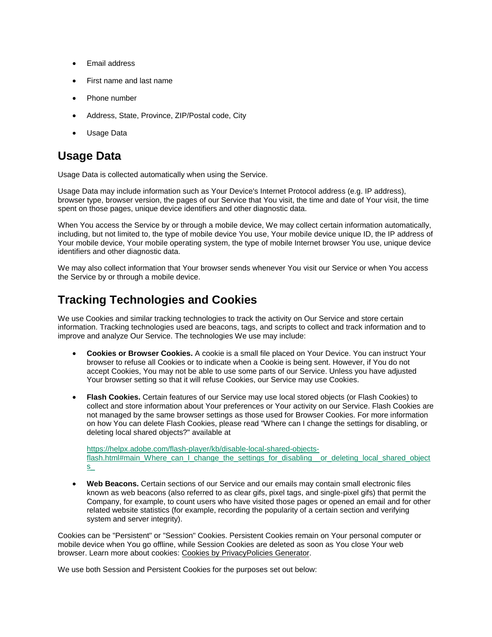- Email address
- First name and last name
- Phone number
- Address, State, Province, ZIP/Postal code, City
- Usage Data

### **Usage Data**

Usage Data is collected automatically when using the Service.

Usage Data may include information such as Your Device's Internet Protocol address (e.g. IP address), browser type, browser version, the pages of our Service that You visit, the time and date of Your visit, the time spent on those pages, unique device identifiers and other diagnostic data.

When You access the Service by or through a mobile device. We may collect certain information automatically, including, but not limited to, the type of mobile device You use, Your mobile device unique ID, the IP address of Your mobile device, Your mobile operating system, the type of mobile Internet browser You use, unique device identifiers and other diagnostic data.

We may also collect information that Your browser sends whenever You visit our Service or when You access the Service by or through a mobile device.

### **Tracking Technologies and Cookies**

We use Cookies and similar tracking technologies to track the activity on Our Service and store certain information. Tracking technologies used are beacons, tags, and scripts to collect and track information and to improve and analyze Our Service. The technologies We use may include:

- **Cookies or Browser Cookies.** A cookie is a small file placed on Your Device. You can instruct Your browser to refuse all Cookies or to indicate when a Cookie is being sent. However, if You do not accept Cookies, You may not be able to use some parts of our Service. Unless you have adjusted Your browser setting so that it will refuse Cookies, our Service may use Cookies.
- **Flash Cookies.** Certain features of our Service may use local stored objects (or Flash Cookies) to collect and store information about Your preferences or Your activity on our Service. Flash Cookies are not managed by the same browser settings as those used for Browser Cookies. For more information on how You can delete Flash Cookies, please read "Where can I change the settings for disabling, or deleting local shared objects?" available at

[https://helpx.adobe.com/flash-player/kb/disable-local-shared-objects](https://helpx.adobe.com/flash-player/kb/disable-local-shared-objects-flash.html#main_Where_can_I_change_the_settings_for_disabling__or_deleting_local_shared_objects_)[flash.html#main\\_Where\\_can\\_I\\_change\\_the\\_settings\\_for\\_disabling\\_\\_or\\_deleting\\_local\\_shared\\_object](https://helpx.adobe.com/flash-player/kb/disable-local-shared-objects-flash.html#main_Where_can_I_change_the_settings_for_disabling__or_deleting_local_shared_objects_)  $S_{-}$ 

 **Web Beacons.** Certain sections of our Service and our emails may contain small electronic files known as web beacons (also referred to as clear gifs, pixel tags, and single-pixel gifs) that permit the Company, for example, to count users who have visited those pages or opened an email and for other related website statistics (for example, recording the popularity of a certain section and verifying system and server integrity).

Cookies can be "Persistent" or "Session" Cookies. Persistent Cookies remain on Your personal computer or mobile device when You go offline, while Session Cookies are deleted as soon as You close Your web browser. Learn more about cookies: [Cookies by PrivacyPolicies Generator.](https://www.privacypolicies.com/blog/privacy-policy-template/#Use_Of_Cookies_Log_Files_And_Tracking)

We use both Session and Persistent Cookies for the purposes set out below: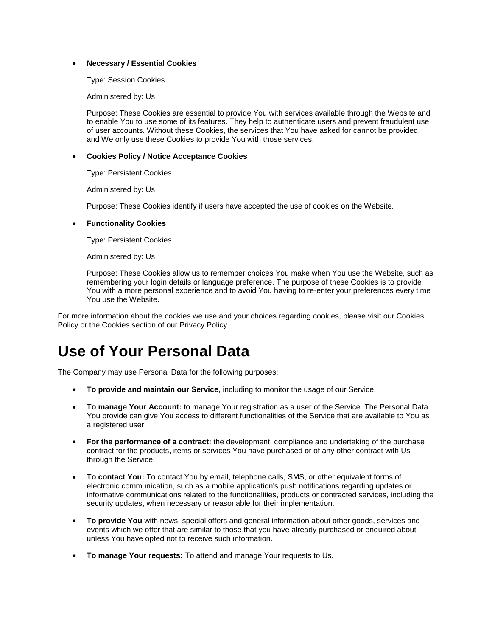#### **Necessary / Essential Cookies**

Type: Session Cookies

Administered by: Us

Purpose: These Cookies are essential to provide You with services available through the Website and to enable You to use some of its features. They help to authenticate users and prevent fraudulent use of user accounts. Without these Cookies, the services that You have asked for cannot be provided, and We only use these Cookies to provide You with those services.

#### **Cookies Policy / Notice Acceptance Cookies**

Type: Persistent Cookies

Administered by: Us

Purpose: These Cookies identify if users have accepted the use of cookies on the Website.

#### **Functionality Cookies**

Type: Persistent Cookies

Administered by: Us

Purpose: These Cookies allow us to remember choices You make when You use the Website, such as remembering your login details or language preference. The purpose of these Cookies is to provide You with a more personal experience and to avoid You having to re-enter your preferences every time You use the Website.

For more information about the cookies we use and your choices regarding cookies, please visit our Cookies Policy or the Cookies section of our Privacy Policy.

### **Use of Your Personal Data**

The Company may use Personal Data for the following purposes:

- **To provide and maintain our Service**, including to monitor the usage of our Service.
- **To manage Your Account:** to manage Your registration as a user of the Service. The Personal Data You provide can give You access to different functionalities of the Service that are available to You as a registered user.
- **For the performance of a contract:** the development, compliance and undertaking of the purchase contract for the products, items or services You have purchased or of any other contract with Us through the Service.
- **To contact You:** To contact You by email, telephone calls, SMS, or other equivalent forms of electronic communication, such as a mobile application's push notifications regarding updates or informative communications related to the functionalities, products or contracted services, including the security updates, when necessary or reasonable for their implementation.
- **To provide You** with news, special offers and general information about other goods, services and events which we offer that are similar to those that you have already purchased or enquired about unless You have opted not to receive such information.
- **To manage Your requests:** To attend and manage Your requests to Us.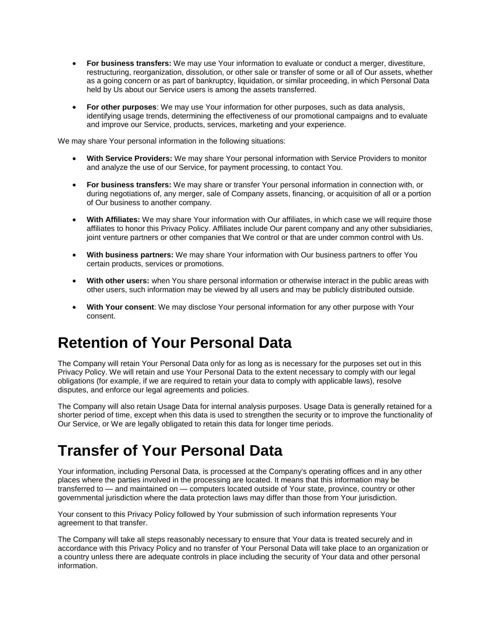- **For business transfers:** We may use Your information to evaluate or conduct a merger, divestiture, restructuring, reorganization, dissolution, or other sale or transfer of some or all of Our assets, whether as a going concern or as part of bankruptcy, liquidation, or similar proceeding, in which Personal Data held by Us about our Service users is among the assets transferred.
- **For other purposes**: We may use Your information for other purposes, such as data analysis, identifying usage trends, determining the effectiveness of our promotional campaigns and to evaluate and improve our Service, products, services, marketing and your experience.

We may share Your personal information in the following situations:

- **With Service Providers:** We may share Your personal information with Service Providers to monitor and analyze the use of our Service, for payment processing, to contact You.
- **For business transfers:** We may share or transfer Your personal information in connection with, or during negotiations of, any merger, sale of Company assets, financing, or acquisition of all or a portion of Our business to another company.
- **With Affiliates:** We may share Your information with Our affiliates, in which case we will require those affiliates to honor this Privacy Policy. Affiliates include Our parent company and any other subsidiaries, joint venture partners or other companies that We control or that are under common control with Us.
- **With business partners:** We may share Your information with Our business partners to offer You certain products, services or promotions.
- **With other users:** when You share personal information or otherwise interact in the public areas with other users, such information may be viewed by all users and may be publicly distributed outside.
- **With Your consent**: We may disclose Your personal information for any other purpose with Your consent.

## **Retention of Your Personal Data**

The Company will retain Your Personal Data only for as long as is necessary for the purposes set out in this Privacy Policy. We will retain and use Your Personal Data to the extent necessary to comply with our legal obligations (for example, if we are required to retain your data to comply with applicable laws), resolve disputes, and enforce our legal agreements and policies.

The Company will also retain Usage Data for internal analysis purposes. Usage Data is generally retained for a shorter period of time, except when this data is used to strengthen the security or to improve the functionality of Our Service, or We are legally obligated to retain this data for longer time periods.

## **Transfer of Your Personal Data**

Your information, including Personal Data, is processed at the Company's operating offices and in any other places where the parties involved in the processing are located. It means that this information may be transferred to — and maintained on — computers located outside of Your state, province, country or other governmental jurisdiction where the data protection laws may differ than those from Your jurisdiction.

Your consent to this Privacy Policy followed by Your submission of such information represents Your agreement to that transfer.

The Company will take all steps reasonably necessary to ensure that Your data is treated securely and in accordance with this Privacy Policy and no transfer of Your Personal Data will take place to an organization or a country unless there are adequate controls in place including the security of Your data and other personal information.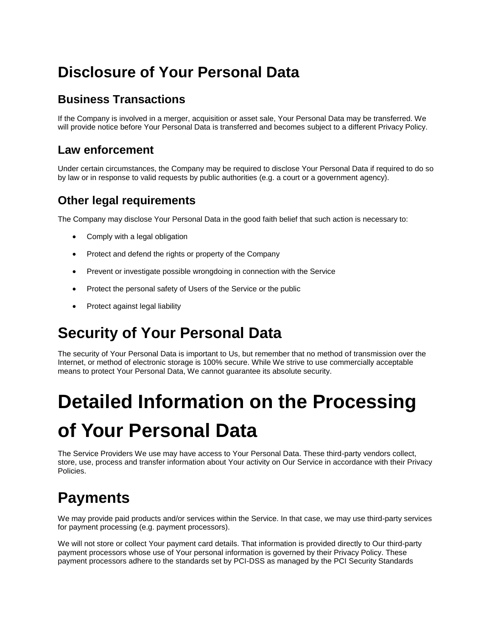## **Disclosure of Your Personal Data**

### **Business Transactions**

If the Company is involved in a merger, acquisition or asset sale, Your Personal Data may be transferred. We will provide notice before Your Personal Data is transferred and becomes subject to a different Privacy Policy.

#### **Law enforcement**

Under certain circumstances, the Company may be required to disclose Your Personal Data if required to do so by law or in response to valid requests by public authorities (e.g. a court or a government agency).

### **Other legal requirements**

The Company may disclose Your Personal Data in the good faith belief that such action is necessary to:

- Comply with a legal obligation
- Protect and defend the rights or property of the Company
- Prevent or investigate possible wrongdoing in connection with the Service
- Protect the personal safety of Users of the Service or the public
- Protect against legal liability

## **Security of Your Personal Data**

The security of Your Personal Data is important to Us, but remember that no method of transmission over the Internet, or method of electronic storage is 100% secure. While We strive to use commercially acceptable means to protect Your Personal Data, We cannot guarantee its absolute security.

# **Detailed Information on the Processing of Your Personal Data**

The Service Providers We use may have access to Your Personal Data. These third-party vendors collect, store, use, process and transfer information about Your activity on Our Service in accordance with their Privacy **Policies** 

### **Payments**

We may provide paid products and/or services within the Service. In that case, we may use third-party services for payment processing (e.g. payment processors).

We will not store or collect Your payment card details. That information is provided directly to Our third-party payment processors whose use of Your personal information is governed by their Privacy Policy. These payment processors adhere to the standards set by PCI-DSS as managed by the PCI Security Standards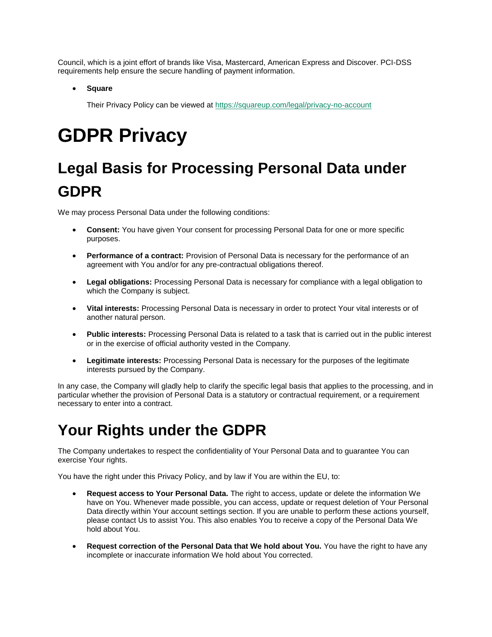Council, which is a joint effort of brands like Visa, Mastercard, American Express and Discover. PCI-DSS requirements help ensure the secure handling of payment information.

**Square**

Their Privacy Policy can be viewed at <https://squareup.com/legal/privacy-no-account>

# **GDPR Privacy**

## **Legal Basis for Processing Personal Data under GDPR**

We may process Personal Data under the following conditions:

- **Consent:** You have given Your consent for processing Personal Data for one or more specific purposes.
- **Performance of a contract:** Provision of Personal Data is necessary for the performance of an agreement with You and/or for any pre-contractual obligations thereof.
- **Legal obligations:** Processing Personal Data is necessary for compliance with a legal obligation to which the Company is subject.
- **Vital interests:** Processing Personal Data is necessary in order to protect Your vital interests or of another natural person.
- **Public interests:** Processing Personal Data is related to a task that is carried out in the public interest or in the exercise of official authority vested in the Company.
- **Legitimate interests:** Processing Personal Data is necessary for the purposes of the legitimate interests pursued by the Company.

In any case, the Company will gladly help to clarify the specific legal basis that applies to the processing, and in particular whether the provision of Personal Data is a statutory or contractual requirement, or a requirement necessary to enter into a contract.

## **Your Rights under the GDPR**

The Company undertakes to respect the confidentiality of Your Personal Data and to guarantee You can exercise Your rights.

You have the right under this Privacy Policy, and by law if You are within the EU, to:

- **Request access to Your Personal Data.** The right to access, update or delete the information We have on You. Whenever made possible, you can access, update or request deletion of Your Personal Data directly within Your account settings section. If you are unable to perform these actions yourself, please contact Us to assist You. This also enables You to receive a copy of the Personal Data We hold about You.
- **Request correction of the Personal Data that We hold about You.** You have the right to have any incomplete or inaccurate information We hold about You corrected.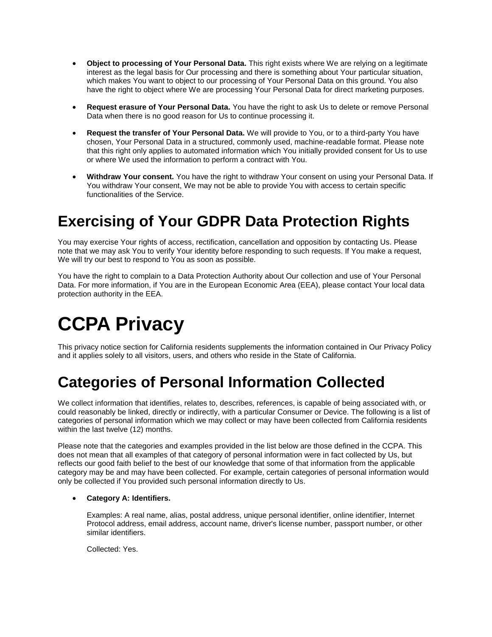- **Object to processing of Your Personal Data.** This right exists where We are relying on a legitimate interest as the legal basis for Our processing and there is something about Your particular situation, which makes You want to object to our processing of Your Personal Data on this ground. You also have the right to object where We are processing Your Personal Data for direct marketing purposes.
- **Request erasure of Your Personal Data.** You have the right to ask Us to delete or remove Personal Data when there is no good reason for Us to continue processing it.
- **Request the transfer of Your Personal Data.** We will provide to You, or to a third-party You have chosen, Your Personal Data in a structured, commonly used, machine-readable format. Please note that this right only applies to automated information which You initially provided consent for Us to use or where We used the information to perform a contract with You.
- **Withdraw Your consent.** You have the right to withdraw Your consent on using your Personal Data. If You withdraw Your consent, We may not be able to provide You with access to certain specific functionalities of the Service.

## **Exercising of Your GDPR Data Protection Rights**

You may exercise Your rights of access, rectification, cancellation and opposition by contacting Us. Please note that we may ask You to verify Your identity before responding to such requests. If You make a request, We will try our best to respond to You as soon as possible.

You have the right to complain to a Data Protection Authority about Our collection and use of Your Personal Data. For more information, if You are in the European Economic Area (EEA), please contact Your local data protection authority in the EEA.

## **CCPA Privacy**

This privacy notice section for California residents supplements the information contained in Our Privacy Policy and it applies solely to all visitors, users, and others who reside in the State of California.

## **Categories of Personal Information Collected**

We collect information that identifies, relates to, describes, references, is capable of being associated with, or could reasonably be linked, directly or indirectly, with a particular Consumer or Device. The following is a list of categories of personal information which we may collect or may have been collected from California residents within the last twelve (12) months.

Please note that the categories and examples provided in the list below are those defined in the CCPA. This does not mean that all examples of that category of personal information were in fact collected by Us, but reflects our good faith belief to the best of our knowledge that some of that information from the applicable category may be and may have been collected. For example, certain categories of personal information would only be collected if You provided such personal information directly to Us.

#### **Category A: Identifiers.**

Examples: A real name, alias, postal address, unique personal identifier, online identifier, Internet Protocol address, email address, account name, driver's license number, passport number, or other similar identifiers.

Collected: Yes.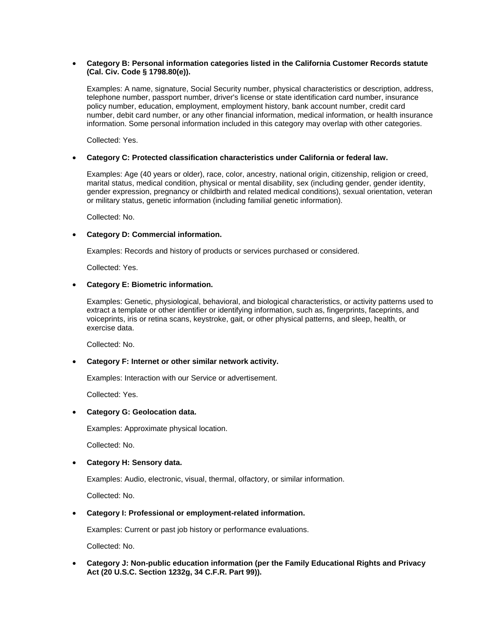#### **Category B: Personal information categories listed in the California Customer Records statute (Cal. Civ. Code § 1798.80(e)).**

Examples: A name, signature, Social Security number, physical characteristics or description, address, telephone number, passport number, driver's license or state identification card number, insurance policy number, education, employment, employment history, bank account number, credit card number, debit card number, or any other financial information, medical information, or health insurance information. Some personal information included in this category may overlap with other categories.

Collected: Yes.

#### **Category C: Protected classification characteristics under California or federal law.**

Examples: Age (40 years or older), race, color, ancestry, national origin, citizenship, religion or creed, marital status, medical condition, physical or mental disability, sex (including gender, gender identity, gender expression, pregnancy or childbirth and related medical conditions), sexual orientation, veteran or military status, genetic information (including familial genetic information).

Collected: No.

#### **Category D: Commercial information.**

Examples: Records and history of products or services purchased or considered.

Collected: Yes.

#### **Category E: Biometric information.**

Examples: Genetic, physiological, behavioral, and biological characteristics, or activity patterns used to extract a template or other identifier or identifying information, such as, fingerprints, faceprints, and voiceprints, iris or retina scans, keystroke, gait, or other physical patterns, and sleep, health, or exercise data.

Collected: No.

#### **Category F: Internet or other similar network activity.**

Examples: Interaction with our Service or advertisement.

Collected: Yes.

#### **Category G: Geolocation data.**

Examples: Approximate physical location.

Collected: No.

#### **Category H: Sensory data.**

Examples: Audio, electronic, visual, thermal, olfactory, or similar information.

Collected: No.

#### **Category I: Professional or employment-related information.**

Examples: Current or past job history or performance evaluations.

Collected: No.

#### **Category J: Non-public education information (per the Family Educational Rights and Privacy Act (20 U.S.C. Section 1232g, 34 C.F.R. Part 99)).**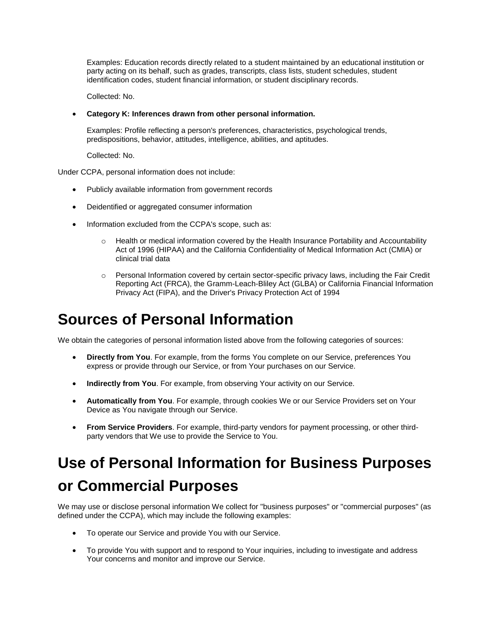Examples: Education records directly related to a student maintained by an educational institution or party acting on its behalf, such as grades, transcripts, class lists, student schedules, student identification codes, student financial information, or student disciplinary records.

Collected: No.

**Category K: Inferences drawn from other personal information.**

Examples: Profile reflecting a person's preferences, characteristics, psychological trends, predispositions, behavior, attitudes, intelligence, abilities, and aptitudes.

Collected: No.

Under CCPA, personal information does not include:

- Publicly available information from government records
- Deidentified or aggregated consumer information
- Information excluded from the CCPA's scope, such as:
	- $\circ$  Health or medical information covered by the Health Insurance Portability and Accountability Act of 1996 (HIPAA) and the California Confidentiality of Medical Information Act (CMIA) or clinical trial data
	- o Personal Information covered by certain sector-specific privacy laws, including the Fair Credit Reporting Act (FRCA), the Gramm-Leach-Bliley Act (GLBA) or California Financial Information Privacy Act (FIPA), and the Driver's Privacy Protection Act of 1994

### **Sources of Personal Information**

We obtain the categories of personal information listed above from the following categories of sources:

- **Directly from You**. For example, from the forms You complete on our Service, preferences You express or provide through our Service, or from Your purchases on our Service.
- **Indirectly from You**. For example, from observing Your activity on our Service.
- **Automatically from You**. For example, through cookies We or our Service Providers set on Your Device as You navigate through our Service.
- **From Service Providers**. For example, third-party vendors for payment processing, or other thirdparty vendors that We use to provide the Service to You.

## **Use of Personal Information for Business Purposes or Commercial Purposes**

We may use or disclose personal information We collect for "business purposes" or "commercial purposes" (as defined under the CCPA), which may include the following examples:

- To operate our Service and provide You with our Service.
- To provide You with support and to respond to Your inquiries, including to investigate and address Your concerns and monitor and improve our Service.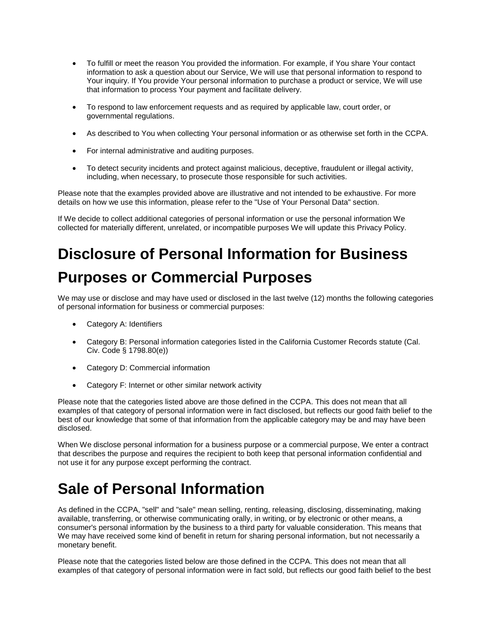- To fulfill or meet the reason You provided the information. For example, if You share Your contact information to ask a question about our Service, We will use that personal information to respond to Your inquiry. If You provide Your personal information to purchase a product or service, We will use that information to process Your payment and facilitate delivery.
- To respond to law enforcement requests and as required by applicable law, court order, or governmental regulations.
- As described to You when collecting Your personal information or as otherwise set forth in the CCPA.
- For internal administrative and auditing purposes.
- To detect security incidents and protect against malicious, deceptive, fraudulent or illegal activity, including, when necessary, to prosecute those responsible for such activities.

Please note that the examples provided above are illustrative and not intended to be exhaustive. For more details on how we use this information, please refer to the "Use of Your Personal Data" section.

If We decide to collect additional categories of personal information or use the personal information We collected for materially different, unrelated, or incompatible purposes We will update this Privacy Policy.

## **Disclosure of Personal Information for Business Purposes or Commercial Purposes**

We may use or disclose and may have used or disclosed in the last twelve (12) months the following categories of personal information for business or commercial purposes:

- Category A: Identifiers
- Category B: Personal information categories listed in the California Customer Records statute (Cal. Civ. Code § 1798.80(e))
- Category D: Commercial information
- Category F: Internet or other similar network activity

Please note that the categories listed above are those defined in the CCPA. This does not mean that all examples of that category of personal information were in fact disclosed, but reflects our good faith belief to the best of our knowledge that some of that information from the applicable category may be and may have been disclosed.

When We disclose personal information for a business purpose or a commercial purpose, We enter a contract that describes the purpose and requires the recipient to both keep that personal information confidential and not use it for any purpose except performing the contract.

## **Sale of Personal Information**

As defined in the CCPA, "sell" and "sale" mean selling, renting, releasing, disclosing, disseminating, making available, transferring, or otherwise communicating orally, in writing, or by electronic or other means, a consumer's personal information by the business to a third party for valuable consideration. This means that We may have received some kind of benefit in return for sharing personal information, but not necessarily a monetary benefit.

Please note that the categories listed below are those defined in the CCPA. This does not mean that all examples of that category of personal information were in fact sold, but reflects our good faith belief to the best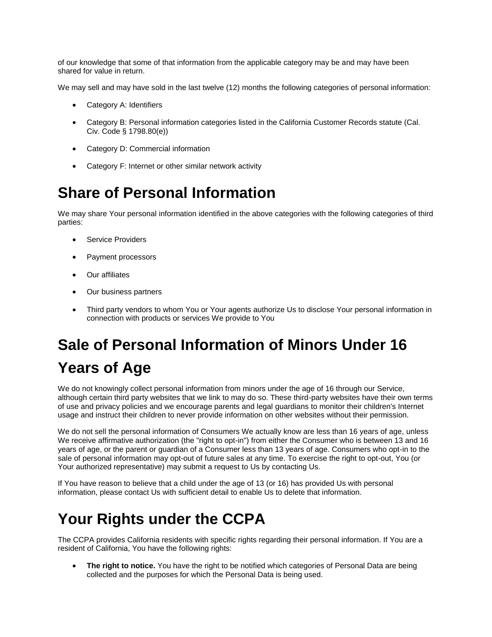of our knowledge that some of that information from the applicable category may be and may have been shared for value in return.

We may sell and may have sold in the last twelve (12) months the following categories of personal information:

- Category A: Identifiers
- Category B: Personal information categories listed in the California Customer Records statute (Cal. Civ. Code § 1798.80(e))
- Category D: Commercial information
- Category F: Internet or other similar network activity

### **Share of Personal Information**

We may share Your personal information identified in the above categories with the following categories of third parties:

- Service Providers
- Payment processors
- Our affiliates
- Our business partners
- Third party vendors to whom You or Your agents authorize Us to disclose Your personal information in connection with products or services We provide to You

## **Sale of Personal Information of Minors Under 16 Years of Age**

We do not knowingly collect personal information from minors under the age of 16 through our Service, although certain third party websites that we link to may do so. These third-party websites have their own terms of use and privacy policies and we encourage parents and legal guardians to monitor their children's Internet usage and instruct their children to never provide information on other websites without their permission.

We do not sell the personal information of Consumers We actually know are less than 16 years of age, unless We receive affirmative authorization (the "right to opt-in") from either the Consumer who is between 13 and 16 years of age, or the parent or guardian of a Consumer less than 13 years of age. Consumers who opt-in to the sale of personal information may opt-out of future sales at any time. To exercise the right to opt-out, You (or Your authorized representative) may submit a request to Us by contacting Us.

If You have reason to believe that a child under the age of 13 (or 16) has provided Us with personal information, please contact Us with sufficient detail to enable Us to delete that information.

## **Your Rights under the CCPA**

The CCPA provides California residents with specific rights regarding their personal information. If You are a resident of California, You have the following rights:

 **The right to notice.** You have the right to be notified which categories of Personal Data are being collected and the purposes for which the Personal Data is being used.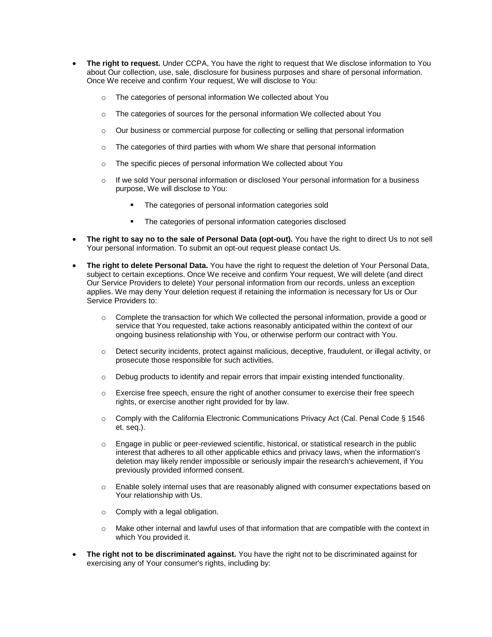- **The right to request.** Under CCPA, You have the right to request that We disclose information to You about Our collection, use, sale, disclosure for business purposes and share of personal information. Once We receive and confirm Your request, We will disclose to You:
	- o The categories of personal information We collected about You
	- $\circ$  The categories of sources for the personal information We collected about You
	- $\circ$  Our business or commercial purpose for collecting or selling that personal information
	- o The categories of third parties with whom We share that personal information
	- o The specific pieces of personal information We collected about You
	- $\circ$  If we sold Your personal information or disclosed Your personal information for a business purpose, We will disclose to You:
		- The categories of personal information categories sold
		- **The categories of personal information categories disclosed**
- **The right to say no to the sale of Personal Data (opt-out).** You have the right to direct Us to not sell Your personal information. To submit an opt-out request please contact Us.
- **The right to delete Personal Data.** You have the right to request the deletion of Your Personal Data, subject to certain exceptions. Once We receive and confirm Your request, We will delete (and direct Our Service Providers to delete) Your personal information from our records, unless an exception applies. We may deny Your deletion request if retaining the information is necessary for Us or Our Service Providers to:
	- o Complete the transaction for which We collected the personal information, provide a good or service that You requested, take actions reasonably anticipated within the context of our ongoing business relationship with You, or otherwise perform our contract with You.
	- o Detect security incidents, protect against malicious, deceptive, fraudulent, or illegal activity, or prosecute those responsible for such activities.
	- o Debug products to identify and repair errors that impair existing intended functionality.
	- o Exercise free speech, ensure the right of another consumer to exercise their free speech rights, or exercise another right provided for by law.
	- $\circ$  Comply with the California Electronic Communications Privacy Act (Cal. Penal Code § 1546 et. seq.).
	- o Engage in public or peer-reviewed scientific, historical, or statistical research in the public interest that adheres to all other applicable ethics and privacy laws, when the information's deletion may likely render impossible or seriously impair the research's achievement, if You previously provided informed consent.
	- $\circ$  Enable solely internal uses that are reasonably aligned with consumer expectations based on Your relationship with Us.
	- o Comply with a legal obligation.
	- $\circ$  Make other internal and lawful uses of that information that are compatible with the context in which You provided it.
- **The right not to be discriminated against.** You have the right not to be discriminated against for exercising any of Your consumer's rights, including by: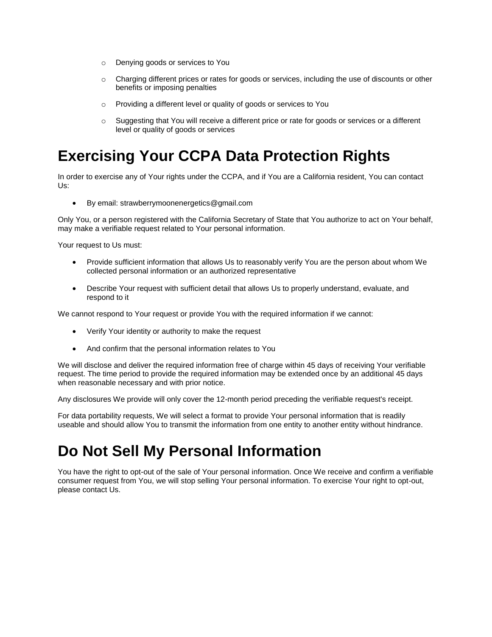- o Denying goods or services to You
- o Charging different prices or rates for goods or services, including the use of discounts or other benefits or imposing penalties
- o Providing a different level or quality of goods or services to You
- $\circ$  Suggesting that You will receive a different price or rate for goods or services or a different level or quality of goods or services

### **Exercising Your CCPA Data Protection Rights**

In order to exercise any of Your rights under the CCPA, and if You are a California resident, You can contact Us:

By email: strawberrymoonenergetics@gmail.com

Only You, or a person registered with the California Secretary of State that You authorize to act on Your behalf, may make a verifiable request related to Your personal information.

Your request to Us must:

- Provide sufficient information that allows Us to reasonably verify You are the person about whom We collected personal information or an authorized representative
- Describe Your request with sufficient detail that allows Us to properly understand, evaluate, and respond to it

We cannot respond to Your request or provide You with the required information if we cannot:

- Verify Your identity or authority to make the request
- And confirm that the personal information relates to You

We will disclose and deliver the required information free of charge within 45 days of receiving Your verifiable request. The time period to provide the required information may be extended once by an additional 45 days when reasonable necessary and with prior notice.

Any disclosures We provide will only cover the 12-month period preceding the verifiable request's receipt.

For data portability requests, We will select a format to provide Your personal information that is readily useable and should allow You to transmit the information from one entity to another entity without hindrance.

## **Do Not Sell My Personal Information**

You have the right to opt-out of the sale of Your personal information. Once We receive and confirm a verifiable consumer request from You, we will stop selling Your personal information. To exercise Your right to opt-out, please contact Us.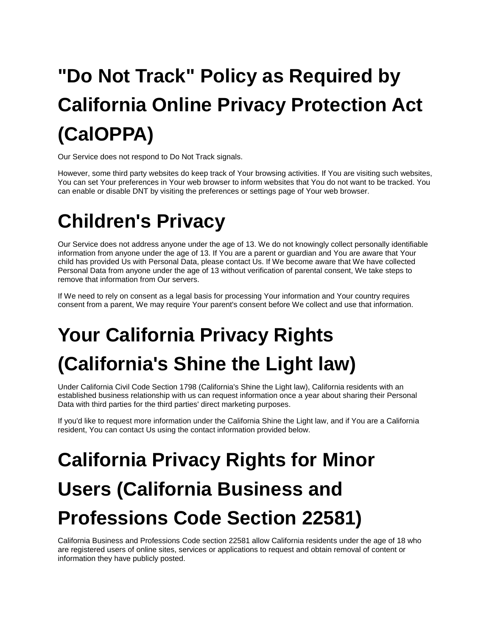# **"Do Not Track" Policy as Required by California Online Privacy Protection Act (CalOPPA)**

Our Service does not respond to Do Not Track signals.

However, some third party websites do keep track of Your browsing activities. If You are visiting such websites, You can set Your preferences in Your web browser to inform websites that You do not want to be tracked. You can enable or disable DNT by visiting the preferences or settings page of Your web browser.

## **Children's Privacy**

Our Service does not address anyone under the age of 13. We do not knowingly collect personally identifiable information from anyone under the age of 13. If You are a parent or guardian and You are aware that Your child has provided Us with Personal Data, please contact Us. If We become aware that We have collected Personal Data from anyone under the age of 13 without verification of parental consent, We take steps to remove that information from Our servers.

If We need to rely on consent as a legal basis for processing Your information and Your country requires consent from a parent, We may require Your parent's consent before We collect and use that information.

# **Your California Privacy Rights (California's Shine the Light law)**

Under California Civil Code Section 1798 (California's Shine the Light law), California residents with an established business relationship with us can request information once a year about sharing their Personal Data with third parties for the third parties' direct marketing purposes.

If you'd like to request more information under the California Shine the Light law, and if You are a California resident, You can contact Us using the contact information provided below.

# **California Privacy Rights for Minor Users (California Business and Professions Code Section 22581)**

California Business and Professions Code section 22581 allow California residents under the age of 18 who are registered users of online sites, services or applications to request and obtain removal of content or information they have publicly posted.